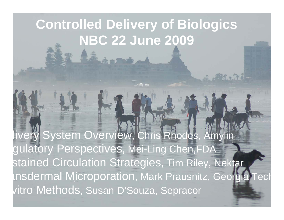# **Controlled Delivery of Biologics NBC 22 June 2009**

植木叶

vitro Methods, Susan D'Souza, Sepracor livery System Overview, Chris Rhodes, Amylin gulatory Perspectives, Mei-Ling Chen,FDA stained Circulation Strategies, Tim Riley, Nektar ansdermal Microporation, Mark Prausnitz, Georgia Tec h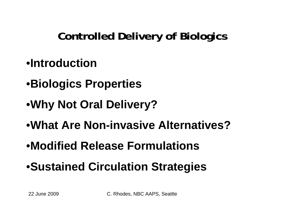## **Controlled Delivery of Biologics**

- •**Introduction**
- •**Biologics Properties**
- •**Why Not Oral Delivery?**
- •**What Are Non-invasive Alternatives?**
- •**Modified Release Formulations**
- •**Sustained Circulation Strategies**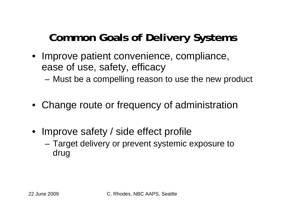### **Common Goals of Delivery Systems**

- Improve patient convenience, compliance, ease of use, safety, efficacy
	- –Must be a compelling reason to use the new product
- Change route or frequency of administration
- Improve safety / side effect profile
	- – Target delivery or prevent systemic exposure to drug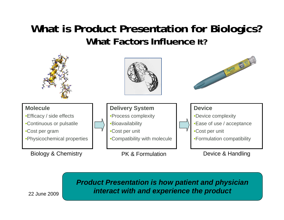#### **What is Product Presentation for Biologics? What Factors Influence It?**



#### **22 June 2009 C. Rhodes, Angle Aart Finderact with and experience the product** *Product Presentation is how patient and physician*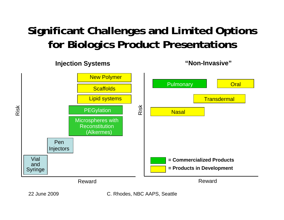#### **Significant Challenges and Limited Options for Biologics Product Presentations**







22 June 2009 C. Rhodes, NBC AAPS, Seattle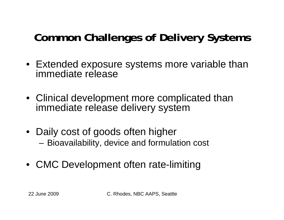## **Common Challenges of Delivery Systems**

- Extended exposure systems more variable than immediate release
- Clinical development more complicated than immediate release delivery system
- Daily cost of goods often higher and the state of the Bioavailability, device and formulation cost
- CMC Development often rate-limiting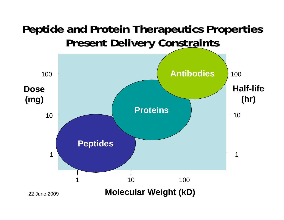#### **Peptide and Protein Therapeutics Properties Present Delivery Constraints**

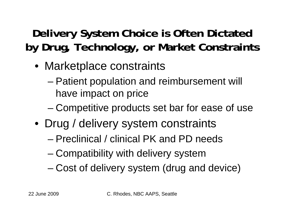## **Delivery System Choice is Often Dictated by Drug, Technology, or Market Constraints**

- Marketplace constraints
	- Patient population and reimbursement will have impact on price
	- –Competitive products set bar for ease of use
- Drug / delivery system constraints
	- Preclinical / clinical PK and PD needs
	- –Compatibility with delivery system
	- –Cost of delivery system (drug and device)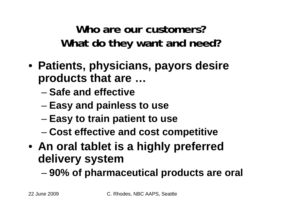**Who are our customers?What do they want and need?**

- **Patients, physicians, payors desire products that are …**
	- **Safe and effective**
	- –**Easy and painless to use**
	- and the state of the state **Easy to train patient to use**
	- and the state of the state **Cost effective and cost competitive**
- **An oral tablet is a highly preferred delivery system**

and the state of the state **90% of pharmaceutical products are oral**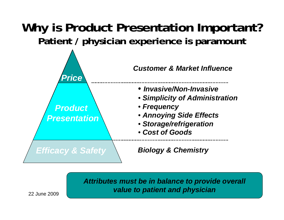#### **Why is Product Presentation Important? Patient / physician experience is paramount**



*Attributes must be in balance to provide overall value to patient and physician*

22 June 2009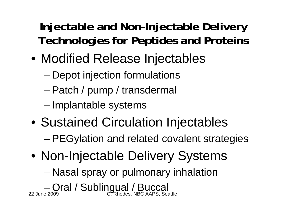### **Injectable and Non-Injectable Delivery Technologies for Peptides and Proteins**

- Modified Release Injectables
	- –Depot injection formulations
	- –Patch / pump / transdermal
	- –Implantable systems
- Sustained Circulation Injectables –PEGylation and related covalent strategies
- Non-Injectable Delivery Systems

–Nasal spray or pulmonary inhalation

22 June 2009 C. Rhodes, NBC AAPS, Seattle –Oral / Sublingual / Buccal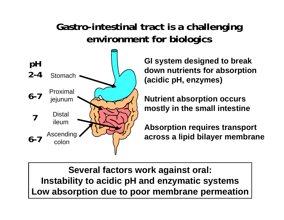#### **Gastro-intestinal tract is a challenging environment for biologics**



**GI system designed to break down nutrients for absorption (acidic pH, enzymes)**

**Nutrient absorption occurs mostly in the small intestine**

**Absorption requires transport across a lipid bilayer membrane**

**| Low absorption due to poor membrane permeation Several factors work against oral: Instability to acidic pH and enzymatic systems**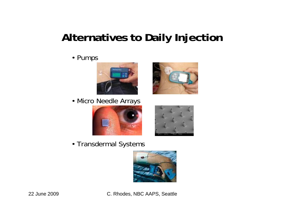### **Alternatives to Daily Injection**

• Pumps











• Transdermal Systems



22 June 2009 C. Rhodes, NBC AAPS, Seattle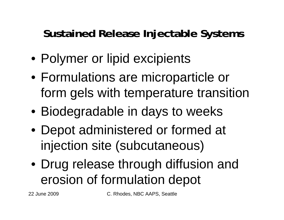#### **Sustained Release Injectable Systems**

- Polymer or lipid excipients
- Formulations are microparticle or form gels with temperature transition
- Biodegradable in days to weeks
- Depot administered or formed at injection site (subcutaneous)
- Drug release through diffusion and erosion of formulation depot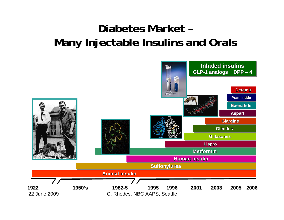#### **Diabetes Market –Many Injectable Insulins and Orals**

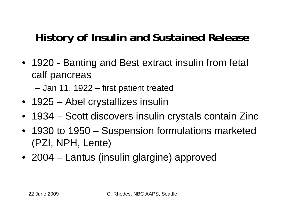## **History of Insulin and Sustained Release**

- 1920 Banting and Best extract insulin from fetal calf pancreas
	- –Jan 11, 1922 – first patient treated
- 1925 Abel crystallizes insulin
- 1934 Scott discovers insulin crystals contain Zinc
- 1930 to 1950 Suspension formulations marketed (PZI, NPH, Lente)
- 2004 Lantus (insulin glargine) approved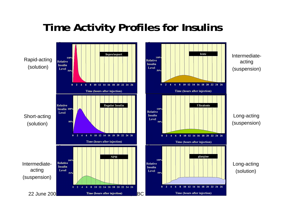#### **Time Activity Profiles for Insulins**

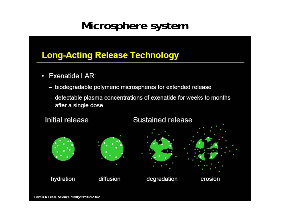#### **Microsphere system**

#### **Long-Acting Release Technology**

- Exenatide LAR:  $\bullet$ 
	- biodegradable polymeric microspheres for extended release
	- detectable plasma concentrations of exenatide for weeks to months after a single dose

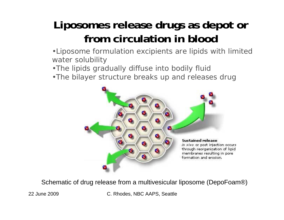## **Liposomes release drugs as depot or from circulation in blood**

•Liposome formulation excipients are lipids with limited water solubility

•The lipids gradually diffuse into bodily fluid

•The bilayer structure breaks up and releases drug



Schematic of drug release from a multivesicular liposome (DepoFoam®)

22 June 2009 C. Rhodes, NBC AAPS, Seattle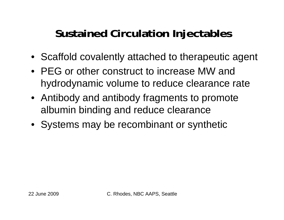#### **Sustained Circulation Injectables**

- Scaffold covalently attached to therapeutic agent
- PEG or other construct to increase MW and hydrodynamic volume to reduce clearance rate
- Antibody and antibody fragments to promote albumin binding and reduce clearance
- Systems may be recombinant or synthetic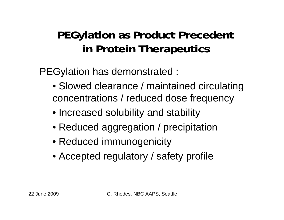#### **PEGylation as Product Precedent in Protein Therapeutics**

PEGylation has demonstrated :

- Slowed clearance / maintained circulating concentrations / reduced dose frequency
- Increased solubility and stability
- Reduced aggregation / precipitation
- Reduced immunogenicity
- Accepted regulatory / safety profile